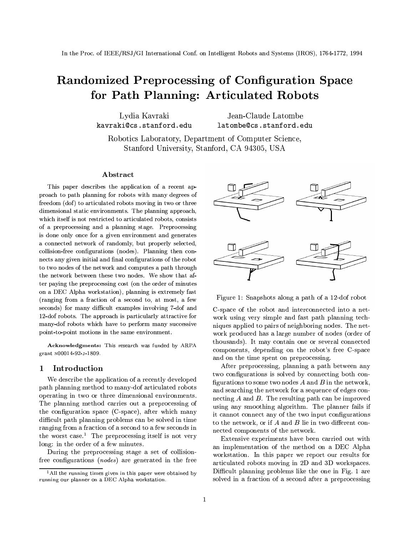# Randomized Preprocessing of Configuration Space for Path Planning: Articulated Robots

Lvdia Kavraki kavraki@cs.stanford.edu

Jean-Claude Latombe latombe@cs.stanford.edu

Robotics Laboratory, Department of Computer Science, Stanford University, Stanford, CA 94305, USA

### Abstract

This paper describes the application of a recent approach to path planning for robots with many degrees of freedom (dof) to articulated robots moving in two or three dimensional static environments. The planning approach, which itself is not restricted to articulated robots, consists of a preprocessing and a planning stage. Preprocessing is done only once for a given environment and generates a connected network of randomly, but properly selected, collision-free configurations (nodes). Planning then connects any given initial and final configurations of the robot to two nodes of the network and computes a path through the network between these two nodes. We show that after paying the preprocessing cost (on the order of minutes on a DEC Alpha workstation), planning is extremely fast (ranging from a fraction of a second to, at most, a few seconds) for many difficult examples involving 7-dof and 12-dof robots. The approach is particularly attractive for many-dof robots which have to perform many successive point-to-point motions in the same environment.

Acknowledgments: This research was funded by ARPA grant N00014-92-J-1809.

#### Introduction  $\mathbf{1}$

We describe the application of a recently developed path planning method to many-dof articulated robots operating in two or three dimensional environments. The planning method carries out a preprocessing of the configuration space (C-space), after which many difficult path planning problems can be solved in time ranging from a fraction of a second to a few seconds in the worst case.<sup>1</sup> The preprocessing itself is not very long: in the order of a few minutes.

During the preprocessing stage a set of collisionfree configurations (*nodes*) are generated in the free



Figure 1: Snapshots along a path of a 12-dof robot

C-space of the robot and interconnected into a network using very simple and fast path planning techniques applied to pairs of neighboring nodes. The network produced has a large number of nodes (order of thousands). It may contain one or several connected components, depending on the robot's free C-space and on the time spent on preprocessing.

After preprocessing, planning a path between any two configurations is solved by connecting both configurations to some two nodes  $A$  and  $B$  in the network, and searching the network for a sequence of edges connecting  $A$  and  $B$ . The resulting path can be improved using any smoothing algorithm. The planner fails if it cannot connect any of the two input configurations to the network, or if  $A$  and  $B$  lie in two different connected components of the network.

Extensive experiments have been carried out with an implementation of the method on a DEC Alpha workstation. In this paper we report our results for articulated robots moving in 2D and 3D workspaces. Difficult planning problems like the one in Fig. 1 are solved in a fraction of a second after a preprocessing

<sup>&</sup>lt;sup>1</sup> All the running times given in this paper were obtained by running our planner on a DEC Alpha workstation.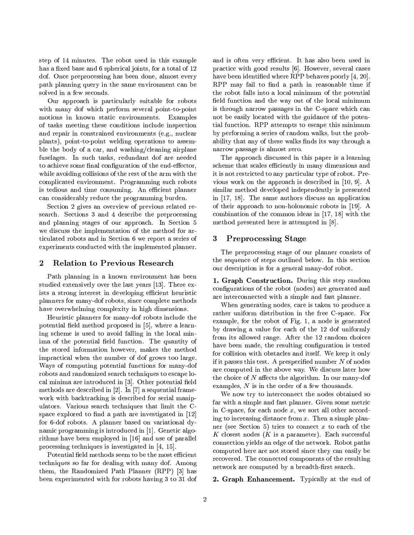step of 14 minutes. The robot used in this example has a fixed base and 6 spherical joints, for a total of 12 dof. Once preprocessing has been done, almost every path planning query in the same environment can be solved in a few seconds.

Our approach is particularly suitable for robots with many dof which perform several point-to-point motions in known static environments. Examples of tasks meeting these conditions include inspection and repair in constrained environments (e.g., nuclear plants), point-to-point welding operations to assemble the body of a car, and washing/cleaning airplane fuselages. In such tasks, redundant dof are needed to achieve some final configuration of the end-effector, while avoiding collisions of the rest of the arm with the complicated environment. Programming such robots is tedious and time consuming. An efficient planner can considerably reduce the programming burden.

Section 2 gives an overview of previous related research. Sections 3 and 4 describe the preprocessing and planning stages of our approach. In Section 5 we discuss the implementation of the method for articulated robots and in Section 6 we report a series of experiments conducted with the implemented planner.

#### $\overline{2}$ **Relation to Previous Research**

Path planning in a known environment has been studied extensively over the last years [13]. There exists a strong interest in developing efficient heuristic planners for many-dof robots, since complete methods have overwhelming complexity in high dimensions.

Heuristic planners for many-dof robots include the potential field method proposed in [5], where a learning scheme is used to avoid falling in the local minima of the potential field function. The quantity of the stored information however, makes the method impractical when the number of dof grows too large. Ways of computing potential functions for many-dof robots and randomized search techniques to escape local minima are introduced in [3]. Other potential field methods are described in [2]. In [7] a sequential framework with backtracking is described for serial manipulators. Various search techniques that limit the Cspace explored to find a path are investigated in [12] for 6-dof robots. A planner based on variational dynamic programming is introduced in [1]. Genetic algorithms have been employed in [16] and use of parallel processing techniques is investigated in  $[4, 15]$ .

Potential field methods seem to be the most efficient techniques so far for dealing with many dof. Among them, the Randomized Path Planner (RPP) [3] has been experimented with for robots having 3 to 31 dof and is often very efficient. It has also been used in practice with good results [6]. However, several cases have been identified where RPP behaves poorly [4, 20]. RPP may fail to find a path in reasonable time if the robot falls into a local minimum of the potential field function and the way out of the local minimum is through narrow passages in the C-space which can not be easily located with the guidance of the potential function. RPP attempts to escape this minimum by performing a series of random walks, but the probability that any of these walks finds its way through a narrow passage is almost zero.

The approach discussed in this paper is a learning scheme that scales efficiently in many dimensions and it is not restricted to any particular type of robot. Previous work on the approach is described in  $[10, 9]$ . A similar method developed independently is presented in  $[17, 18]$ . The same authors discuss an application of their approach to non-holonomic robots in [19]. A combination of the common ideas in [17, 18] with the method presented here is attempted in [8].

#### **Preprocessing Stage** 3

The preprocessing stage of our planner consists of the sequence of steps outlined below. In this section our description is for a general many-dof robot.

1. Graph Construction. During this step random configurations of the robot (nodes) are generated and are interconnected with a simple and fast planner.

When generating nodes, care is taken to produce a rather uniform distribution in the free C-space. For example, for the robot of Fig. 1, a node is generated by drawing a value for each of the 12 dof uniformly from its allowed range. After the 12 random choices have been made, the resulting configuration is tested for collision with obstacles and itself. We keep it only if it passes this test. A prespecified number  $N$  of nodes are computed in the above way. We discuss later how the choice of  $N$  affects the algorithm. In our many-dof examples,  $N$  is in the order of a few thousands.

We now try to interconnect the nodes obtained so far with a simple and fast planner. Given some metric in C-space, for each node  $x$ , we sort all other according to increasing distance from  $x$ . Then a simple planner (see Section 5) tries to connect  $x$  to each of the K closest nodes  $(K$  is a parameter). Each successful connection yields an edge of the network. Robot paths computed here are not stored since they can easily be recovered. The connected components of the resulting network are computed by a breadth-first search.

2. Graph Enhancement. Typically at the end of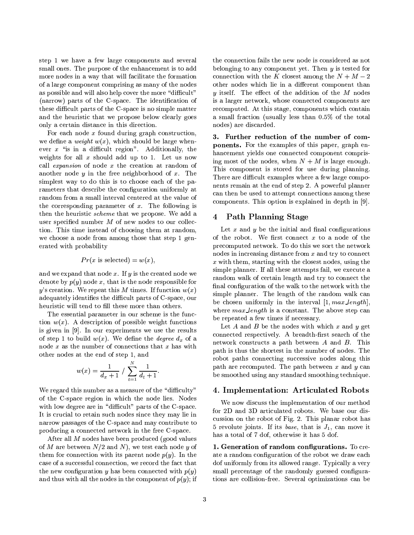step 1 we have a few large components and several small ones. The purpose of the enhancement is to add more nodes in a way that will facilitate the formation of a large component comprising as many of the nodes as possible and will also help cover the more "difficult" (narrow) parts of the C-space. The identification of these difficult parts of the C-space is no simple matter and the heuristic that we propose below clearly goes only a certain distance in this direction.

For each node  $x$  found during graph construction, we define a *weight*  $w(x)$ , which should be large whenever  $x$  "is in a difficult region". Additionally, the weights for all  $x$  should add up to 1. Let us now call *expansion* of node x the creation at random of another node  $y$  in the free neighborhood of  $x$ . The simplest way to do this is to choose each of the parameters that describe the configuration uniformly at random from a small interval centered at the value of the corresponding parameter of  $x$ . The following is then the heuristic *scheme* that we propose. We add a user specified number  $M$  of new nodes to our collection. This time instead of choosing them at random, we choose a node from among those that step 1 generated with probability

$$
Pr(x \text{ is selected}) = w(x),
$$

and we expand that node  $x$ . If  $y$  is the created node we denote by  $p(y)$  node x, that is the node responsible for y's creation. We repeat this M times. If function  $w(x)$ adequately identifies the difficult parts of C-space, our heuristic will tend to fill these more than others.

The essential parameter in our scheme is the function  $w(x)$ . A description of possible weight functions is given in [9]. In our experiments we use the results of step 1 to build  $w(x)$ . We define the *degree*  $d_x$  of a node  $x$  as the number of connections that  $x$  has with other nodes at the end of step 1, and

$$
w(x) = \frac{1}{d_x + 1} / \sum_{t=1}^{N} \frac{1}{d_t + 1}.
$$

We regard this number as a measure of the "difficulty" of the C-space region in which the node lies. Nodes with low degree are in "difficult" parts of the C-space. It is crucial to retain such nodes since they may lie in narrow passages of the C-space and may contribute to producing a connected network in the free C-space.

After all M nodes have been produced (good values of M are between  $N/2$  and N, we test each node y of them for connection with its parent node  $p(y)$ . In the case of a successful connection, we record the fact that the new configuration y has been connected with  $p(y)$ and thus with all the nodes in the component of  $p(y)$ ; if the connection fails the new node is considered as not belonging to any component yet. Then  $y$  is tested for connection with the K closest among the  $N + M - 2$ other nodes which lie in a different component than y itself. The effect of the addition of the  $M$  nodes is a larger network, whose connected components are recomputed. At this stage, components which contain a small fraction (usually less than 0.5% of the total nodes) are discarded.

3. Further reduction of the number of components. For the examples of this paper, graph enhancement yields one connected component comprising most of the nodes, when  $N + M$  is large enough. This component is stored for use during planning. There are difficult examples where a few large components remain at the end of step 2. A powerful planner can then be used to attempt connections among these components. This option is explained in depth in [9].

#### **Path Planning Stage** 4

Let  $x$  and  $y$  be the initial and final configurations of the robot. We first connect  $x$  to a node of the precomputed network. To do this we sort the network nodes in increasing distance from  $x$  and try to connect  $x$  with them, starting with the closest nodes, using the simple planner. If all these attempts fail, we execute a random walk of certain length and try to connect the final configuration of the walk to the network with the simple planner. The length of the random walk can be chosen uniformly in the interval  $[1, max.length]$ . where *max\_length* is a constant. The above step can be repeated a few times if necessary.

Let A and B be the nodes with which  $x$  and  $y$  get connected respectively. A breadth-first search of the network constructs a path between  $A$  and  $B$ . This path is thus the shortest in the number of nodes. The robot paths connecting successive nodes along this path are recomputed. The path between  $x$  and  $y$  can be smoothed using any standard smoothing technique.

## 4. Implementation: Articulated Robots

We now discuss the implementation of our method for 2D and 3D articulated robots. We base our discussion on the robot of Fig. 2. This planar robot has 5 revolute joints. If its base, that is  $J_1$ , can move it has a total of 7 dof, otherwise it has 5 dof.

1. Generation of random configurations. To create a random configuration of the robot we draw each dof uniformly from its allowed range. Typically a very small percentage of the randomly guessed configurations are collision-free. Several optimizations can be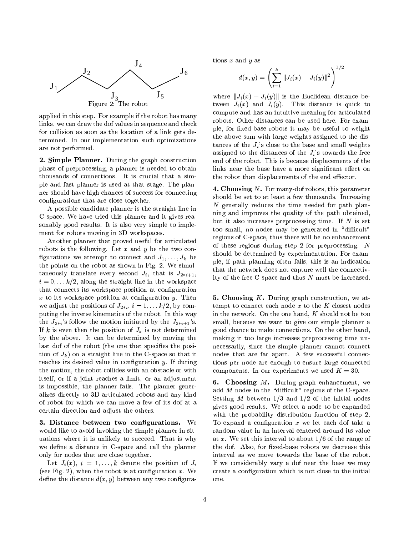

applied in this step. For example if the robot has many links, we can draw the dof values in sequence and check for collision as soon as the location of a link gets determined. In our implementation such optimizations are not performed.

2. Simple Planner. During the graph construction phase of preprocessing, a planner is needed to obtain thousands of connections. It is crucial that a simple and fast planner is used at that stage. The planner should have high chances of success for connecting configurations that are close together.

A possible candidate planner is the straight line in C-space. We have tried this planner and it gives reasonably good results. It is also very simple to implement for robots moving in 3D workspaces.

Another planner that proved useful for articulated robots is the following. Let  $x$  and  $y$  be the two configurations we attempt to connect and  $J_1, \ldots, J_k$  be the points on the robot as shown in Fig. 2. We simultaneously translate every second  $J_i$ , that is  $J_{2+i+1}$ ,  $i = 0, \ldots k/2$ , along the straight line in the workspace that connects its workspace position at configuration  $x$  to its workspace position at configuration  $y$ . Then we adjust the positions of  $J_{2+i}$ ,  $i = 1, \ldots k/2$ , by computing the inverse kinematics of the robot. In this way the  $J_{2+i}$ 's follow the motion initiated by the  $J_{2+i+1}$ 's. If k is even then the position of  $J_k$  is not determined by the above. It can be determined by moving the last dof of the robot (the one that specifies the position of  $J_k$ ) on a straight line in the C-space so that it reaches its desired value in configuration  $y$ . If during the motion, the robot collides with an obstacle or with itself, or if a joint reaches a limit, or an adjustment is impossible, the planner fails. The planner generalizes directly to 3D articulated robots and any kind of robot for which we can move a few of its dof at a certain direction and adjust the others.

3. Distance between two configurations. We would like to avoid invoking the simple planner in situations where it is unlikely to succeed. That is why we define a distance in C-space and call the planner only for nodes that are close together.

Let  $J_i(x)$ ,  $i = 1, ..., k$  denote the position of  $J_i$ (see Fig. 2), when the robot is at configuration  $x$ . We define the distance  $d(x, y)$  between any two configurations  $x$  and  $y$  as

$$
d(x,y) = \left(\sum_{i=1}^{k} ||J_i(x) - J_i(y)||^2\right)^{1/2}
$$

where  $||J_i(x) - J_i(y)||$  is the Euclidean distance between  $J_i(x)$  and  $J_i(y)$ . This distance is quick to compute and has an intuitive meaning for articulated robots. Other distances can be used here. For example, for fixed-base robots it may be useful to weight the above sum with large weights assigned to the distances of the  $J_i$ 's close to the base and small weights assigned to the distances of the  $J_i$ 's towards the free end of the robot. This is because displacements of the links near the base have a more significant effect on the robot than displacements of the end effector.

**4. Choosing N.** For many-dof robots, this parameter should be set to at least a few thousands. Increasing N generally reduces the time needed for path planning and improves the quality of the path obtained, but it also increases preprocessing time. If  $N$  is set too small, no nodes may be generated in "difficult" regions of C-space, thus there will be no enhancement of these regions during step 2 for preprocessing.  $N$ should be determined by experimentation. For example, if path planning often fails, this is an indication that the network does not capture well the connectivity of the free C-space and thus  $N$  must be increased.

**5. Choosing K.** During graph construction, we attempt to connect each node  $x$  to the  $K$  closest nodes in the network. On the one hand,  $K$  should not be too small, because we want to give our simple planner a good chance to make connections. On the other hand, making it too large increases preprocessing time unnecessarily, since the simple planner cannot connect nodes that are far apart. A few successful connections per node are enough to ensure large connected components. In our experiments we used  $K = 30$ .

6. Choosing  $M$ . During graph enhancement, we add M nodes in the "difficult" regions of the C-space. Setting M between  $1/3$  and  $1/2$  of the initial nodes gives good results. We select a node to be expanded with the probability distribution function of step 2. To expand a configuration  $x$  we let each dof take a random value in an interval centered around its value at x. We set this interval to about  $1/6$  of the range of the dof. Also, for fixed-base robots we decrease this interval as we move towards the base of the robot. If we considerably vary a dof near the base we may create a configuration which is not close to the initial one.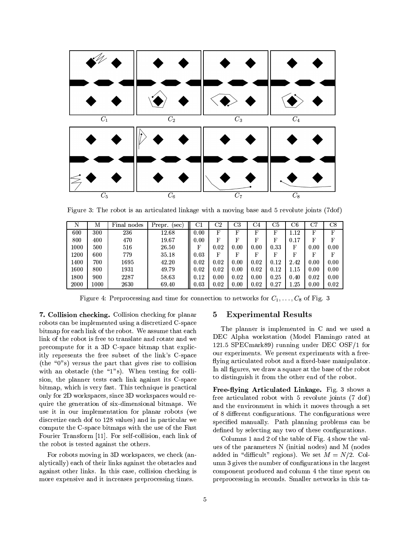

Figure 3: The robot is an articulated linkage with a moving base and 5 revolute joints (7dof)

| N    | Μ        | Final nodes | Prepr.<br>(sec) | $_{\rm C1}$ | $\mathrm{C}2$ | C3   | C4   | C5   | C6   | C7   | $_{\rm C8}$ |
|------|----------|-------------|-----------------|-------------|---------------|------|------|------|------|------|-------------|
| 600  | 300      | 236         | 12.68           | 0.00        | F             | F    | F    | F    | 1.12 | F    | F           |
| 800  | 400      | 470         | 19.67           | 0.00        | F             | F    | F    | F    | 0.17 | F    | $_{\rm F}$  |
| 1000 | 500      | 516         | 26.50           | F           | 0.02          | 0.00 | 0.00 | 0.33 | F    | 0.00 | 0.00        |
| 1200 | 600      | 779         | 35.18           | 0.03        | F             | F    | F    | F    | F    | F    | F           |
| 1400 | 700      | 1695        | 42.20           | 0.02        | 0.02          | 0.00 | 0.02 | 0.12 | 2.42 | 0.00 | 0.00        |
| 1600 | 800      | 1931        | 49.79           | 0.02        | 0.02          | 0.00 | 0.02 | 0.12 | 1.15 | 0.00 | 0.00        |
| 1800 | 900      | 2287        | 58.63           | 0.12        | 0.00          | 0.02 | 0.00 | 0.25 | 0.40 | 0.02 | 0.00        |
| 2000 | $1000\,$ | 2630        | 69.40           | 0.03        | 0.02          | 0.00 | 0.02 | 0.27 | 1.25 | 0.00 | 0.02        |

Figure 4: Preprocessing and time for connection to networks for  $C_1, \ldots, C_8$  of Fig. 3

7. Collision checking. Collision checking for planar robots can be implemented using a discretized C-space bitmap for each link of the robot. We assume that each link of the robot is free to translate and rotate and we precompute for it a 3D C-space bitmap that explicitly represents the free subset of the link's C-space (the " $0$ "s) versus the part that gives rise to collision with an obstacle (the "1"s). When testing for collision, the planner tests each link against its C-space bitmap, which is very fast. This technique is practical only for 2D workspaces, since 3D workspaces would require the generation of six-dimensional bitmaps. We use it in our implementation for planar robots (we discretize each dof to 128 values) and in particular we compute the C-space bitmaps with the use of the Fast Fourier Transform [11]. For self-collision, each link of the robot is tested against the others.

For robots moving in 3D workspaces, we check (analytically) each of their links against the obstacles and against other links. In this case, collision checking is more expensive and it increases preprocessing times.

#### **Experimental Results**  $\overline{5}$

The planner is implemented in C and we used a DEC Alpha workstation (Model Flamingo rated at 121.5 SPECmark89) running under DEC OSF/1 for our experiments. We present experiments with a freeflying articulated robot and a fixed-base manipulator. In all figures, we draw a square at the base of the robot to distinguish it from the other end of the robot.

Free-flying Articulated Linkage. Fig. 3 shows a free articulated robot with 5 revolute joints (7 dof) and the environment in which it moves through a set of 8 different configurations. The configurations were specified manually. Path planning problems can be defined by selecting any two of these configurations.

Columns 1 and 2 of the table of Fig. 4 show the values of the parameters N (initial nodes) and M (nodes added in "difficult" regions). We set  $M = N/2$ . Column 3 gives the number of configurations in the largest component produced and column 4 the time spent on preprocessing in seconds. Smaller networks in this ta-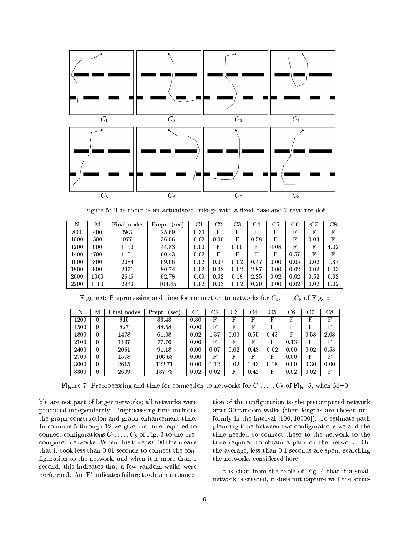

Figure 5: The robot is an articulated linkage with a fixed base and 7 revolute dof

| N        | Μ        | Final nodes | Prepr.<br>[sec] | $_{\rm C1}$ | $\mathrm{\scriptstyle C}2$ | C3   | C4   | C5   | C6   | C7   | $_{\rm C8}$ |
|----------|----------|-------------|-----------------|-------------|----------------------------|------|------|------|------|------|-------------|
| 800      | 400      | 583         | 25.69           | 0.30        | F                          | F    | F    | F    | F    | F    | F           |
| 1000     | 500      | 977         | 36.06           | 0.02        | 0.00                       | F    | 0.58 | F    | F    | 0.03 | F           |
| 1200     | 600      | 1150        | 44.83           | 0.00        | F                          | 0.00 | F    | 4.08 | F    | F    | 4.02        |
| 1400     | 700      | 1151        | 60.43           | 0.02        | F                          | F    | F    | F    | 0.57 | F    | F           |
| 1600     | 800      | 2084        | 69.66           | 0.02        | 0.07                       | 0.02 | 0.47 | 0.00 | 0.05 | 0.02 | 1.37        |
| $1800\,$ | 900      | 2371        | 80.74           | 0.02        | 0.02                       | 0.02 | 2.87 | 0.00 | 0.02 | 0.02 | 0.03        |
| 2000     | $1000\,$ | 2646        | 92.78           | 0.00        | 0.02                       | 0.18 | 2.25 | 0.02 | 0.02 | 0.52 | 0.02        |
| 2200     | 1100     | 2940        | 104.45          | 0.02        | 0.03                       | 0.02 | 0.20 | 0.00 | 0.02 | 0.02 | 0.02        |

| N        | Μ | Final nodes | Prepr.<br>sec) | C1   | $_{\rm C2}$ | $_{\rm C3}$ | C4          | C5   | $_{\rm C6}$ | C7   | $^{\rm C8}$  |
|----------|---|-------------|----------------|------|-------------|-------------|-------------|------|-------------|------|--------------|
| 1200     | 0 | 615         | 33.43          | 0.30 | F           | F           | F           | F    | $_{\rm F}$  | F    | $\mathbf{F}$ |
| 1500     | 0 | 827         | 48.58          | 0.00 | F           | F           | $\mathbf F$ | F    | F           | F    | F            |
| $1800\,$ | 0 | 1478        | 61.08          | 0.02 | 1.37        | 0.00        | 0.55        | 0.43 | F           | 0.58 | 2.08         |
| 2100     | 0 | 1197        | 77.76          | 0.00 | F           | F           | F           | F    | 0.13        | F    | F            |
| 2400     | 0 | 2061        | 91.18          | 0.00 | 0.07        | 0.02        | 0.48        | 0.02 | 0.00        | 0.02 | 0.53         |
| 2700     | 0 | 1578        | 106.58         | 0.00 | F           | F           | F           | F    | 0.00        | F    | F            |
| 3000     | 0 | 2615        | 122.71         | 0.00 | 1.12        | 0.02        | 1.43        | 0.18 | 0.00        | 0.30 | 0.00         |
| 3300     | 0 | 2609        | 137.73         | 0.02 | 0.02        | F           | 0.42        | F    | 0.02        | 0.02 | F            |

Figure 6: Preprocessing and time for connection to networks for  $C_1, \ldots, C_8$  of Fig. 5

Figure 7: Preprocessing and time for connection to networks for  $C_1, \ldots, C_8$  of Fig. 5, when M=0

ble are not part of larger networks; all networks were produced independently. Preprocessing time includes the graph construction and graph enhancement time. In columns 5 through 12 we give the time required to connect configurations  $C_1, \ldots, C_8$  of Fig. 3 to the precomputed networks. When this time is 0.00 this means that it took less than 0.01 seconds to connect the configuration to the network, and when it is more than 1 second, this indicates that a few random walks were performed. An 'F' indicates failure to obtain a connection of the configuration to the precomputed network after 30 random walks (their lengths are chosen uniformly in the interval [100, 10000]). To estimate path planning time between two configurations we add the time needed to connect these to the network to the time required to obtain a path on the network. On the average, less than 0.1 seconds are spent searching the networks considered here.

It is clear from the table of Fig. 4 that if a small network is created, it does not capture well the struc-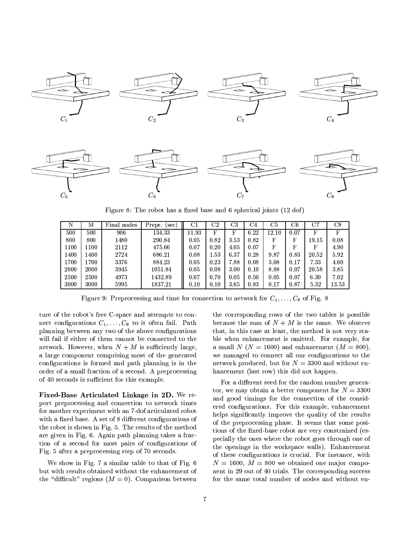

Figure 8: The robot has a fixed base and 6 spherical joints (12 dof)

| N    | М    | Final nodes | Prepr.<br>sec. | $_{\rm C1}$ | $_{\rm C2}$ | $_{\rm C3}$ | C4   | C <sub>5</sub> | C6   | $_{\rm C7}$ | $_{\rm C8}$ |
|------|------|-------------|----------------|-------------|-------------|-------------|------|----------------|------|-------------|-------------|
| 500  | 500  | 906         | 134.33         | 11.93       | F           | F           | 6.22 | 12.10          | 0.07 | F           | F           |
| 800  | 800  | 1480        | 290.84         | 0.05        | 0.82        | 3.53        | 0.82 | F              | F    | 19.15       | 0.08        |
| 1100 | 1100 | 2112        | 475.66         | 0.07        | 0.20        | 4.05        | 0.07 | F              | F    | F           | 4.90        |
| 1400 | 1400 | 2724        | 686.21         | 0.08        | 1.53        | 6.37        | 0.28 | 9.87           | 0.83 | 20.52       | 5.92        |
| 1700 | 1700 | 3376        | 884.23         | 0.05        | 0.23        | 7.88        | 0.08 | 3.08           | 0.17 | 733         | 4.60        |
| 2000 | 2000 | 3945        | 1051.84        | 0.05        | 0.08        | 3.00        | 0.10 | 8.88           | 0.07 | 20.58       | 3.85        |
| 2500 | 2500 | 4973        | 1432.89        | 0.07        | 0.70        | 0.05        | 0.50 | 0.05           | 0.07 | 6.30        | 7.02        |
| 3000 | 3000 | 5995        | 1837.21        | 0.10        | 0.10        | 3.65        | 0.83 | 0.17           | 0.87 | 5.32        | 13.53       |

Figure 9: Preprocessing and time for connection to network for  $C_1, \ldots, C_8$  of Fig. 8

ture of the robot's free C-space and attempts to connect configurations  $C_1, \ldots, C_8$  to it often fail. Path planning between any two of the above configurations will fail if either of them cannot be connected to the network. However, when  $N + M$  is sufficiently large, a large component comprising most of the generated configurations is formed and path planning is in the order of a small fraction of a second. A preprocessing of 40 seconds is sufficient for this example.

Fixed-Base Articulated Linkage in 2D. We report preprocessing and connection to network times for another experiment with an 7-dof articulated robot with a fixed base. A set of 8 different configurations of the robot is shown in Fig. 5. The results of the method are given in Fig. 6. Again path planning takes a fraction of a second for most pairs of configurations of Fig. 5 after a preprocessing step of 70 seconds.

We show in Fig. 7 a similar table to that of Fig. 6 but with results obtained without the enhancement of the "difficult" regions  $(M = 0)$ . Comparison between the corresponding rows of the two tables is possible because the sum of  $N + M$  is the same. We observe that, in this case at least, the method is not very stable when enhancement is omitted. For example, for a small N ( $N = 1600$ ) and enhancement ( $M = 800$ ). we managed to connect all our configurations to the network produced, but for  $N = 3300$  and without enhancement (last row) this did not happen.

For a different seed for the random number generator, we may obtain a better component for  $N = 3300$ and good timings for the connection of the considered configurations. For this example, enhancement helps significantly improve the quality of the results of the preprocessing phase. It seems that some positions of the fixed-base robot are very constrained (especially the ones where the robot goes through one of the openings in the workspace walls). Enhancement of these configurations is crucial. For instance, with  $N = 1600$ ,  $M = 800$  we obtained one major component in 29 out of 40 trials. The corresponding success for the same total number of nodes and without en